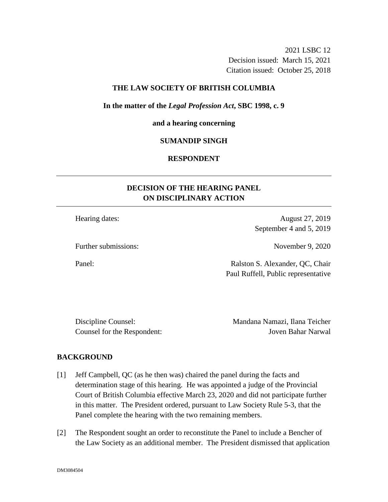2021 LSBC 12 Decision issued: March 15, 2021 Citation issued: October 25, 2018

### **THE LAW SOCIETY OF BRITISH COLUMBIA**

### **In the matter of the** *Legal Profession Act***, SBC 1998, c. 9**

#### **and a hearing concerning**

### **SUMANDIP SINGH**

## **RESPONDENT**

# **DECISION OF THE HEARING PANEL ON DISCIPLINARY ACTION**

Hearing dates: August 27, 2019 September 4 and 5, 2019

Further submissions: November 9, 2020

Panel: Ralston S. Alexander, QC, Chair Paul Ruffell, Public representative

Discipline Counsel: Mandana Namazi, Ilana Teicher Counsel for the Respondent: Joven Bahar Narwal

#### **BACKGROUND**

- [1] Jeff Campbell, QC (as he then was) chaired the panel during the facts and determination stage of this hearing. He was appointed a judge of the Provincial Court of British Columbia effective March 23, 2020 and did not participate further in this matter. The President ordered, pursuant to Law Society Rule 5-3, that the Panel complete the hearing with the two remaining members.
- [2] The Respondent sought an order to reconstitute the Panel to include a Bencher of the Law Society as an additional member. The President dismissed that application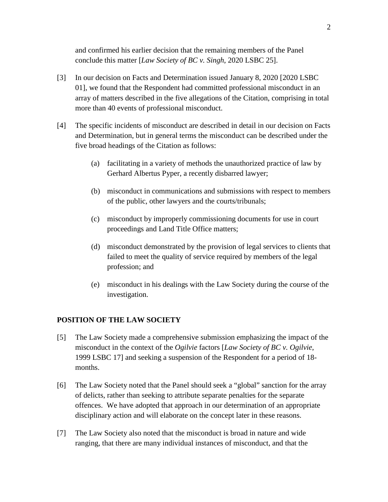and confirmed his earlier decision that the remaining members of the Panel conclude this matter [*Law Society of BC v. Singh*, 2020 LSBC 25].

- [3] In our decision on Facts and Determination issued January 8, 2020 [2020 LSBC 01], we found that the Respondent had committed professional misconduct in an array of matters described in the five allegations of the Citation, comprising in total more than 40 events of professional misconduct.
- [4] The specific incidents of misconduct are described in detail in our decision on Facts and Determination, but in general terms the misconduct can be described under the five broad headings of the Citation as follows:
	- (a) facilitating in a variety of methods the unauthorized practice of law by Gerhard Albertus Pyper, a recently disbarred lawyer;
	- (b) misconduct in communications and submissions with respect to members of the public, other lawyers and the courts/tribunals;
	- (c) misconduct by improperly commissioning documents for use in court proceedings and Land Title Office matters;
	- (d) misconduct demonstrated by the provision of legal services to clients that failed to meet the quality of service required by members of the legal profession; and
	- (e) misconduct in his dealings with the Law Society during the course of the investigation.

## **POSITION OF THE LAW SOCIETY**

- [5] The Law Society made a comprehensive submission emphasizing the impact of the misconduct in the context of the *Ogilvie* factors [*Law Society of BC v. Ogilvie*, 1999 LSBC 17] and seeking a suspension of the Respondent for a period of 18 months.
- [6] The Law Society noted that the Panel should seek a "global" sanction for the array of delicts, rather than seeking to attribute separate penalties for the separate offences. We have adopted that approach in our determination of an appropriate disciplinary action and will elaborate on the concept later in these reasons.
- [7] The Law Society also noted that the misconduct is broad in nature and wide ranging, that there are many individual instances of misconduct, and that the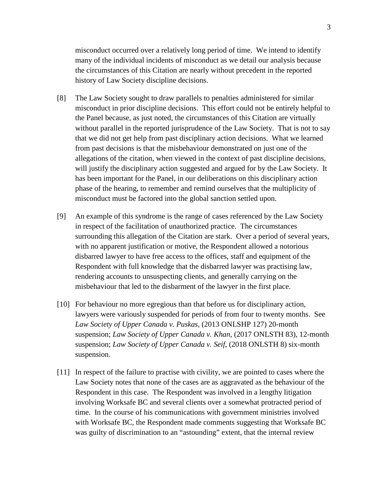misconduct occurred over a relatively long period of time. We intend to identify many of the individual incidents of misconduct as we detail our analysis because the circumstances of this Citation are nearly without precedent in the reported history of Law Society discipline decisions.

- [8] The Law Society sought to draw parallels to penalties administered for similar misconduct in prior discipline decisions. This effort could not be entirely helpful to the Panel because, as just noted, the circumstances of this Citation are virtually without parallel in the reported jurisprudence of the Law Society. That is not to say that we did not get help from past disciplinary action decisions. What we learned from past decisions is that the misbehaviour demonstrated on just one of the allegations of the citation, when viewed in the context of past discipline decisions, will justify the disciplinary action suggested and argued for by the Law Society. It has been important for the Panel, in our deliberations on this disciplinary action phase of the hearing, to remember and remind ourselves that the multiplicity of misconduct must be factored into the global sanction settled upon.
- [9] An example of this syndrome is the range of cases referenced by the Law Society in respect of the facilitation of unauthorized practice. The circumstances surrounding this allegation of the Citation are stark. Over a period of several years, with no apparent justification or motive, the Respondent allowed a notorious disbarred lawyer to have free access to the offices, staff and equipment of the Respondent with full knowledge that the disbarred lawyer was practising law, rendering accounts to unsuspecting clients, and generally carrying on the misbehaviour that led to the disbarment of the lawyer in the first place.
- [10] For behaviour no more egregious than that before us for disciplinary action, lawyers were variously suspended for periods of from four to twenty months. See *Law Society of Upper Canada v. Puskas*, (2013 ONLSHP 127) 20-month suspension; *Law Society of Upper Canada v. Khan*, (2017 ONLSTH 83), 12-month suspension; *Law Society of Upper Canada v. Seif*, (2018 ONLSTH 8) six-month suspension.
- [11] In respect of the failure to practise with civility, we are pointed to cases where the Law Society notes that none of the cases are as aggravated as the behaviour of the Respondent in this case. The Respondent was involved in a lengthy litigation involving Worksafe BC and several clients over a somewhat protracted period of time. In the course of his communications with government ministries involved with Worksafe BC, the Respondent made comments suggesting that Worksafe BC was guilty of discrimination to an "astounding" extent, that the internal review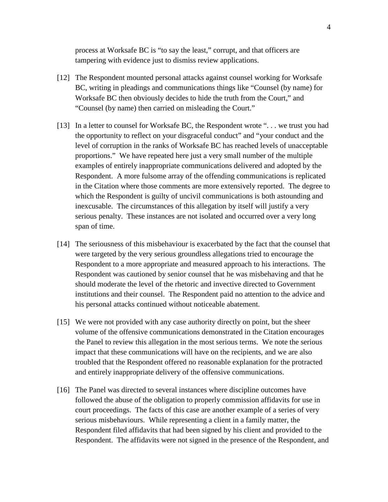process at Worksafe BC is "to say the least," corrupt, and that officers are tampering with evidence just to dismiss review applications.

- [12] The Respondent mounted personal attacks against counsel working for Worksafe BC, writing in pleadings and communications things like "Counsel (by name) for Worksafe BC then obviously decides to hide the truth from the Court," and "Counsel (by name) then carried on misleading the Court."
- [13] In a letter to counsel for Worksafe BC, the Respondent wrote "... we trust you had the opportunity to reflect on your disgraceful conduct" and "your conduct and the level of corruption in the ranks of Worksafe BC has reached levels of unacceptable proportions." We have repeated here just a very small number of the multiple examples of entirely inappropriate communications delivered and adopted by the Respondent. A more fulsome array of the offending communications is replicated in the Citation where those comments are more extensively reported. The degree to which the Respondent is guilty of uncivil communications is both astounding and inexcusable. The circumstances of this allegation by itself will justify a very serious penalty. These instances are not isolated and occurred over a very long span of time.
- [14] The seriousness of this misbehaviour is exacerbated by the fact that the counsel that were targeted by the very serious groundless allegations tried to encourage the Respondent to a more appropriate and measured approach to his interactions. The Respondent was cautioned by senior counsel that he was misbehaving and that he should moderate the level of the rhetoric and invective directed to Government institutions and their counsel. The Respondent paid no attention to the advice and his personal attacks continued without noticeable abatement.
- [15] We were not provided with any case authority directly on point, but the sheer volume of the offensive communications demonstrated in the Citation encourages the Panel to review this allegation in the most serious terms. We note the serious impact that these communications will have on the recipients, and we are also troubled that the Respondent offered no reasonable explanation for the protracted and entirely inappropriate delivery of the offensive communications.
- [16] The Panel was directed to several instances where discipline outcomes have followed the abuse of the obligation to properly commission affidavits for use in court proceedings. The facts of this case are another example of a series of very serious misbehaviours. While representing a client in a family matter, the Respondent filed affidavits that had been signed by his client and provided to the Respondent. The affidavits were not signed in the presence of the Respondent, and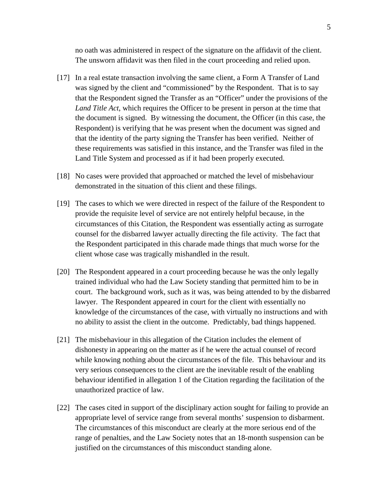no oath was administered in respect of the signature on the affidavit of the client. The unsworn affidavit was then filed in the court proceeding and relied upon.

- [17] In a real estate transaction involving the same client, a Form A Transfer of Land was signed by the client and "commissioned" by the Respondent. That is to say that the Respondent signed the Transfer as an "Officer" under the provisions of the *Land Title Act*, which requires the Officer to be present in person at the time that the document is signed. By witnessing the document, the Officer (in this case, the Respondent) is verifying that he was present when the document was signed and that the identity of the party signing the Transfer has been verified. Neither of these requirements was satisfied in this instance, and the Transfer was filed in the Land Title System and processed as if it had been properly executed.
- [18] No cases were provided that approached or matched the level of misbehaviour demonstrated in the situation of this client and these filings.
- [19] The cases to which we were directed in respect of the failure of the Respondent to provide the requisite level of service are not entirely helpful because, in the circumstances of this Citation, the Respondent was essentially acting as surrogate counsel for the disbarred lawyer actually directing the file activity. The fact that the Respondent participated in this charade made things that much worse for the client whose case was tragically mishandled in the result.
- [20] The Respondent appeared in a court proceeding because he was the only legally trained individual who had the Law Society standing that permitted him to be in court. The background work, such as it was, was being attended to by the disbarred lawyer. The Respondent appeared in court for the client with essentially no knowledge of the circumstances of the case, with virtually no instructions and with no ability to assist the client in the outcome. Predictably, bad things happened.
- [21] The misbehaviour in this allegation of the Citation includes the element of dishonesty in appearing on the matter as if he were the actual counsel of record while knowing nothing about the circumstances of the file. This behaviour and its very serious consequences to the client are the inevitable result of the enabling behaviour identified in allegation 1 of the Citation regarding the facilitation of the unauthorized practice of law.
- [22] The cases cited in support of the disciplinary action sought for failing to provide an appropriate level of service range from several months' suspension to disbarment. The circumstances of this misconduct are clearly at the more serious end of the range of penalties, and the Law Society notes that an 18-month suspension can be justified on the circumstances of this misconduct standing alone.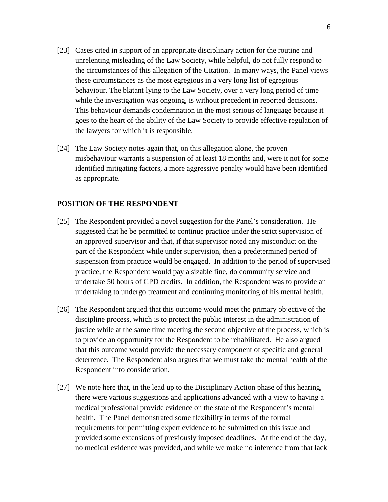- [23] Cases cited in support of an appropriate disciplinary action for the routine and unrelenting misleading of the Law Society, while helpful, do not fully respond to the circumstances of this allegation of the Citation. In many ways, the Panel views these circumstances as the most egregious in a very long list of egregious behaviour. The blatant lying to the Law Society, over a very long period of time while the investigation was ongoing, is without precedent in reported decisions. This behaviour demands condemnation in the most serious of language because it goes to the heart of the ability of the Law Society to provide effective regulation of the lawyers for which it is responsible.
- [24] The Law Society notes again that, on this allegation alone, the proven misbehaviour warrants a suspension of at least 18 months and, were it not for some identified mitigating factors, a more aggressive penalty would have been identified as appropriate.

# **POSITION OF THE RESPONDENT**

- [25] The Respondent provided a novel suggestion for the Panel's consideration. He suggested that he be permitted to continue practice under the strict supervision of an approved supervisor and that, if that supervisor noted any misconduct on the part of the Respondent while under supervision, then a predetermined period of suspension from practice would be engaged. In addition to the period of supervised practice, the Respondent would pay a sizable fine, do community service and undertake 50 hours of CPD credits. In addition, the Respondent was to provide an undertaking to undergo treatment and continuing monitoring of his mental health.
- [26] The Respondent argued that this outcome would meet the primary objective of the discipline process, which is to protect the public interest in the administration of justice while at the same time meeting the second objective of the process, which is to provide an opportunity for the Respondent to be rehabilitated. He also argued that this outcome would provide the necessary component of specific and general deterrence. The Respondent also argues that we must take the mental health of the Respondent into consideration.
- [27] We note here that, in the lead up to the Disciplinary Action phase of this hearing, there were various suggestions and applications advanced with a view to having a medical professional provide evidence on the state of the Respondent's mental health. The Panel demonstrated some flexibility in terms of the formal requirements for permitting expert evidence to be submitted on this issue and provided some extensions of previously imposed deadlines. At the end of the day, no medical evidence was provided, and while we make no inference from that lack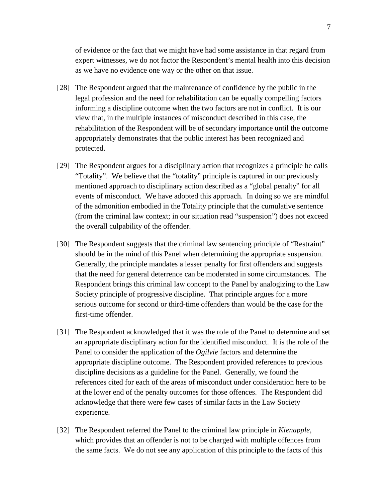of evidence or the fact that we might have had some assistance in that regard from expert witnesses, we do not factor the Respondent's mental health into this decision as we have no evidence one way or the other on that issue.

- [28] The Respondent argued that the maintenance of confidence by the public in the legal profession and the need for rehabilitation can be equally compelling factors informing a discipline outcome when the two factors are not in conflict. It is our view that, in the multiple instances of misconduct described in this case, the rehabilitation of the Respondent will be of secondary importance until the outcome appropriately demonstrates that the public interest has been recognized and protected.
- [29] The Respondent argues for a disciplinary action that recognizes a principle he calls "Totality". We believe that the "totality" principle is captured in our previously mentioned approach to disciplinary action described as a "global penalty" for all events of misconduct. We have adopted this approach. In doing so we are mindful of the admonition embodied in the Totality principle that the cumulative sentence (from the criminal law context; in our situation read "suspension") does not exceed the overall culpability of the offender.
- [30] The Respondent suggests that the criminal law sentencing principle of "Restraint" should be in the mind of this Panel when determining the appropriate suspension. Generally, the principle mandates a lesser penalty for first offenders and suggests that the need for general deterrence can be moderated in some circumstances. The Respondent brings this criminal law concept to the Panel by analogizing to the Law Society principle of progressive discipline. That principle argues for a more serious outcome for second or third-time offenders than would be the case for the first-time offender.
- [31] The Respondent acknowledged that it was the role of the Panel to determine and set an appropriate disciplinary action for the identified misconduct. It is the role of the Panel to consider the application of the *Ogilvie* factors and determine the appropriate discipline outcome. The Respondent provided references to previous discipline decisions as a guideline for the Panel. Generally, we found the references cited for each of the areas of misconduct under consideration here to be at the lower end of the penalty outcomes for those offences. The Respondent did acknowledge that there were few cases of similar facts in the Law Society experience.
- [32] The Respondent referred the Panel to the criminal law principle in *Kienapple*, which provides that an offender is not to be charged with multiple offences from the same facts. We do not see any application of this principle to the facts of this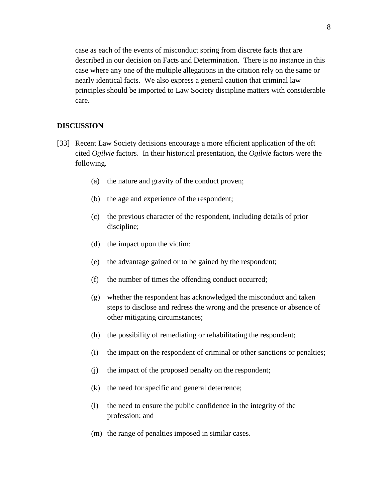case as each of the events of misconduct spring from discrete facts that are described in our decision on Facts and Determination. There is no instance in this case where any one of the multiple allegations in the citation rely on the same or nearly identical facts. We also express a general caution that criminal law principles should be imported to Law Society discipline matters with considerable care.

### **DISCUSSION**

- [33] Recent Law Society decisions encourage a more efficient application of the oft cited *Ogilvie* factors. In their historical presentation, the *Ogilvie* factors were the following.
	- (a) the nature and gravity of the conduct proven;
	- (b) the age and experience of the respondent;
	- (c) the previous character of the respondent, including details of prior discipline;
	- (d) the impact upon the victim;
	- (e) the advantage gained or to be gained by the respondent;
	- (f) the number of times the offending conduct occurred;
	- (g) whether the respondent has acknowledged the misconduct and taken steps to disclose and redress the wrong and the presence or absence of other mitigating circumstances;
	- (h) the possibility of remediating or rehabilitating the respondent;
	- (i) the impact on the respondent of criminal or other sanctions or penalties;
	- (j) the impact of the proposed penalty on the respondent;
	- (k) the need for specific and general deterrence;
	- (l) the need to ensure the public confidence in the integrity of the profession; and
	- (m) the range of penalties imposed in similar cases.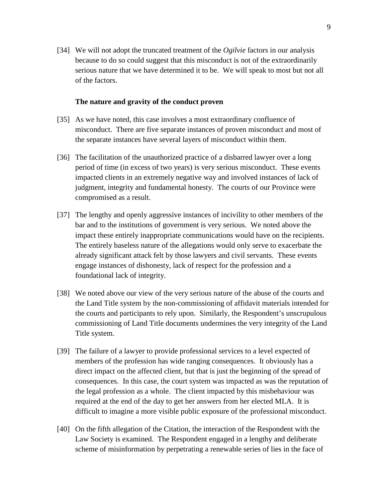[34] We will not adopt the truncated treatment of the *Ogilvie* factors in our analysis because to do so could suggest that this misconduct is not of the extraordinarily serious nature that we have determined it to be. We will speak to most but not all of the factors.

### **The nature and gravity of the conduct proven**

- [35] As we have noted, this case involves a most extraordinary confluence of misconduct. There are five separate instances of proven misconduct and most of the separate instances have several layers of misconduct within them.
- [36] The facilitation of the unauthorized practice of a disbarred lawyer over a long period of time (in excess of two years) is very serious misconduct. These events impacted clients in an extremely negative way and involved instances of lack of judgment, integrity and fundamental honesty. The courts of our Province were compromised as a result.
- [37] The lengthy and openly aggressive instances of incivility to other members of the bar and to the institutions of government is very serious. We noted above the impact these entirely inappropriate communications would have on the recipients. The entirely baseless nature of the allegations would only serve to exacerbate the already significant attack felt by those lawyers and civil servants. These events engage instances of dishonesty, lack of respect for the profession and a foundational lack of integrity.
- [38] We noted above our view of the very serious nature of the abuse of the courts and the Land Title system by the non-commissioning of affidavit materials intended for the courts and participants to rely upon. Similarly, the Respondent's unscrupulous commissioning of Land Title documents undermines the very integrity of the Land Title system.
- [39] The failure of a lawyer to provide professional services to a level expected of members of the profession has wide ranging consequences. It obviously has a direct impact on the affected client, but that is just the beginning of the spread of consequences. In this case, the court system was impacted as was the reputation of the legal profession as a whole. The client impacted by this misbehaviour was required at the end of the day to get her answers from her elected MLA. It is difficult to imagine a more visible public exposure of the professional misconduct.
- [40] On the fifth allegation of the Citation, the interaction of the Respondent with the Law Society is examined. The Respondent engaged in a lengthy and deliberate scheme of misinformation by perpetrating a renewable series of lies in the face of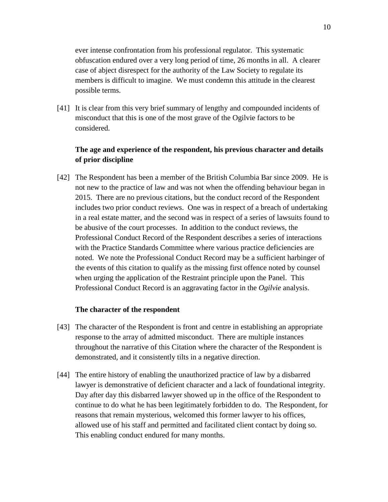ever intense confrontation from his professional regulator. This systematic obfuscation endured over a very long period of time, 26 months in all. A clearer case of abject disrespect for the authority of the Law Society to regulate its members is difficult to imagine. We must condemn this attitude in the clearest possible terms.

[41] It is clear from this very brief summary of lengthy and compounded incidents of misconduct that this is one of the most grave of the Ogilvie factors to be considered.

# **The age and experience of the respondent, his previous character and details of prior discipline**

[42] The Respondent has been a member of the British Columbia Bar since 2009. He is not new to the practice of law and was not when the offending behaviour began in 2015. There are no previous citations, but the conduct record of the Respondent includes two prior conduct reviews. One was in respect of a breach of undertaking in a real estate matter, and the second was in respect of a series of lawsuits found to be abusive of the court processes. In addition to the conduct reviews, the Professional Conduct Record of the Respondent describes a series of interactions with the Practice Standards Committee where various practice deficiencies are noted. We note the Professional Conduct Record may be a sufficient harbinger of the events of this citation to qualify as the missing first offence noted by counsel when urging the application of the Restraint principle upon the Panel. This Professional Conduct Record is an aggravating factor in the *Ogilvie* analysis.

#### **The character of the respondent**

- [43] The character of the Respondent is front and centre in establishing an appropriate response to the array of admitted misconduct. There are multiple instances throughout the narrative of this Citation where the character of the Respondent is demonstrated, and it consistently tilts in a negative direction.
- [44] The entire history of enabling the unauthorized practice of law by a disbarred lawyer is demonstrative of deficient character and a lack of foundational integrity. Day after day this disbarred lawyer showed up in the office of the Respondent to continue to do what he has been legitimately forbidden to do. The Respondent, for reasons that remain mysterious, welcomed this former lawyer to his offices, allowed use of his staff and permitted and facilitated client contact by doing so. This enabling conduct endured for many months.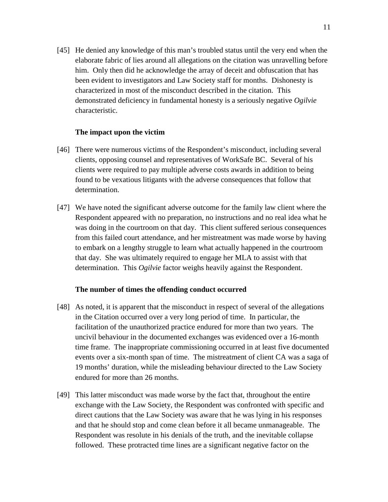[45] He denied any knowledge of this man's troubled status until the very end when the elaborate fabric of lies around all allegations on the citation was unravelling before him. Only then did he acknowledge the array of deceit and obfuscation that has been evident to investigators and Law Society staff for months. Dishonesty is characterized in most of the misconduct described in the citation. This demonstrated deficiency in fundamental honesty is a seriously negative *Ogilvie* characteristic.

### **The impact upon the victim**

- [46] There were numerous victims of the Respondent's misconduct, including several clients, opposing counsel and representatives of WorkSafe BC. Several of his clients were required to pay multiple adverse costs awards in addition to being found to be vexatious litigants with the adverse consequences that follow that determination.
- [47] We have noted the significant adverse outcome for the family law client where the Respondent appeared with no preparation, no instructions and no real idea what he was doing in the courtroom on that day. This client suffered serious consequences from this failed court attendance, and her mistreatment was made worse by having to embark on a lengthy struggle to learn what actually happened in the courtroom that day. She was ultimately required to engage her MLA to assist with that determination. This *Ogilvie* factor weighs heavily against the Respondent.

### **The number of times the offending conduct occurred**

- [48] As noted, it is apparent that the misconduct in respect of several of the allegations in the Citation occurred over a very long period of time. In particular, the facilitation of the unauthorized practice endured for more than two years. The uncivil behaviour in the documented exchanges was evidenced over a 16-month time frame. The inappropriate commissioning occurred in at least five documented events over a six-month span of time. The mistreatment of client CA was a saga of 19 months' duration, while the misleading behaviour directed to the Law Society endured for more than 26 months.
- [49] This latter misconduct was made worse by the fact that, throughout the entire exchange with the Law Society, the Respondent was confronted with specific and direct cautions that the Law Society was aware that he was lying in his responses and that he should stop and come clean before it all became unmanageable. The Respondent was resolute in his denials of the truth, and the inevitable collapse followed. These protracted time lines are a significant negative factor on the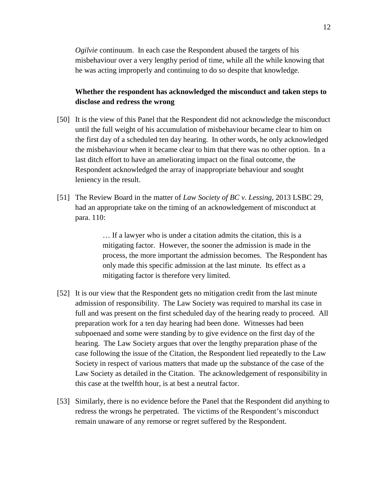*Ogilvie* continuum. In each case the Respondent abused the targets of his misbehaviour over a very lengthy period of time, while all the while knowing that he was acting improperly and continuing to do so despite that knowledge.

# **Whether the respondent has acknowledged the misconduct and taken steps to disclose and redress the wrong**

- [50] It is the view of this Panel that the Respondent did not acknowledge the misconduct until the full weight of his accumulation of misbehaviour became clear to him on the first day of a scheduled ten day hearing. In other words, he only acknowledged the misbehaviour when it became clear to him that there was no other option. In a last ditch effort to have an ameliorating impact on the final outcome, the Respondent acknowledged the array of inappropriate behaviour and sought leniency in the result.
- [51] The Review Board in the matter of *Law Society of BC v. Lessing*, 2013 LSBC 29, had an appropriate take on the timing of an acknowledgement of misconduct at para. 110:

… If a lawyer who is under a citation admits the citation, this is a mitigating factor. However, the sooner the admission is made in the process, the more important the admission becomes. The Respondent has only made this specific admission at the last minute. Its effect as a mitigating factor is therefore very limited.

- [52] It is our view that the Respondent gets no mitigation credit from the last minute admission of responsibility. The Law Society was required to marshal its case in full and was present on the first scheduled day of the hearing ready to proceed. All preparation work for a ten day hearing had been done. Witnesses had been subpoenaed and some were standing by to give evidence on the first day of the hearing. The Law Society argues that over the lengthy preparation phase of the case following the issue of the Citation, the Respondent lied repeatedly to the Law Society in respect of various matters that made up the substance of the case of the Law Society as detailed in the Citation. The acknowledgement of responsibility in this case at the twelfth hour, is at best a neutral factor.
- [53] Similarly, there is no evidence before the Panel that the Respondent did anything to redress the wrongs he perpetrated. The victims of the Respondent's misconduct remain unaware of any remorse or regret suffered by the Respondent.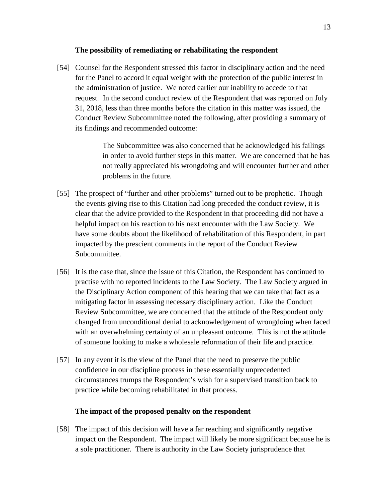### **The possibility of remediating or rehabilitating the respondent**

[54] Counsel for the Respondent stressed this factor in disciplinary action and the need for the Panel to accord it equal weight with the protection of the public interest in the administration of justice. We noted earlier our inability to accede to that request. In the second conduct review of the Respondent that was reported on July 31, 2018, less than three months before the citation in this matter was issued, the Conduct Review Subcommittee noted the following, after providing a summary of its findings and recommended outcome:

> The Subcommittee was also concerned that he acknowledged his failings in order to avoid further steps in this matter. We are concerned that he has not really appreciated his wrongdoing and will encounter further and other problems in the future.

- [55] The prospect of "further and other problems" turned out to be prophetic. Though the events giving rise to this Citation had long preceded the conduct review, it is clear that the advice provided to the Respondent in that proceeding did not have a helpful impact on his reaction to his next encounter with the Law Society. We have some doubts about the likelihood of rehabilitation of this Respondent, in part impacted by the prescient comments in the report of the Conduct Review Subcommittee.
- [56] It is the case that, since the issue of this Citation, the Respondent has continued to practise with no reported incidents to the Law Society. The Law Society argued in the Disciplinary Action component of this hearing that we can take that fact as a mitigating factor in assessing necessary disciplinary action. Like the Conduct Review Subcommittee, we are concerned that the attitude of the Respondent only changed from unconditional denial to acknowledgement of wrongdoing when faced with an overwhelming certainty of an unpleasant outcome. This is not the attitude of someone looking to make a wholesale reformation of their life and practice.
- [57] In any event it is the view of the Panel that the need to preserve the public confidence in our discipline process in these essentially unprecedented circumstances trumps the Respondent's wish for a supervised transition back to practice while becoming rehabilitated in that process.

### **The impact of the proposed penalty on the respondent**

[58] The impact of this decision will have a far reaching and significantly negative impact on the Respondent. The impact will likely be more significant because he is a sole practitioner. There is authority in the Law Society jurisprudence that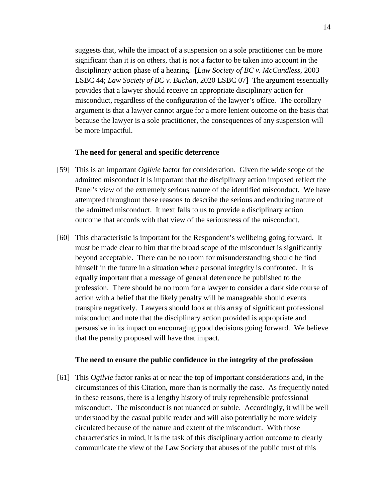suggests that, while the impact of a suspension on a sole practitioner can be more significant than it is on others, that is not a factor to be taken into account in the disciplinary action phase of a hearing. [*Law Society of BC v. McCandless*, 2003 LSBC 44; *Law Society of BC v. Buchan*, 2020 LSBC 07] The argument essentially provides that a lawyer should receive an appropriate disciplinary action for misconduct, regardless of the configuration of the lawyer's office. The corollary argument is that a lawyer cannot argue for a more lenient outcome on the basis that because the lawyer is a sole practitioner, the consequences of any suspension will be more impactful.

#### **The need for general and specific deterrence**

- [59] This is an important *Ogilvie* factor for consideration. Given the wide scope of the admitted misconduct it is important that the disciplinary action imposed reflect the Panel's view of the extremely serious nature of the identified misconduct. We have attempted throughout these reasons to describe the serious and enduring nature of the admitted misconduct. It next falls to us to provide a disciplinary action outcome that accords with that view of the seriousness of the misconduct.
- [60] This characteristic is important for the Respondent's wellbeing going forward. It must be made clear to him that the broad scope of the misconduct is significantly beyond acceptable. There can be no room for misunderstanding should he find himself in the future in a situation where personal integrity is confronted. It is equally important that a message of general deterrence be published to the profession. There should be no room for a lawyer to consider a dark side course of action with a belief that the likely penalty will be manageable should events transpire negatively. Lawyers should look at this array of significant professional misconduct and note that the disciplinary action provided is appropriate and persuasive in its impact on encouraging good decisions going forward. We believe that the penalty proposed will have that impact.

#### **The need to ensure the public confidence in the integrity of the profession**

[61] This *Ogilvie* factor ranks at or near the top of important considerations and, in the circumstances of this Citation, more than is normally the case. As frequently noted in these reasons, there is a lengthy history of truly reprehensible professional misconduct. The misconduct is not nuanced or subtle. Accordingly, it will be well understood by the casual public reader and will also potentially be more widely circulated because of the nature and extent of the misconduct. With those characteristics in mind, it is the task of this disciplinary action outcome to clearly communicate the view of the Law Society that abuses of the public trust of this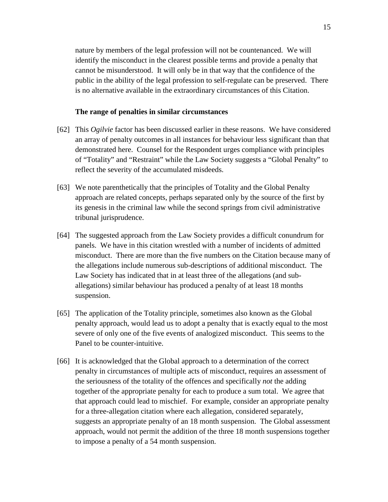nature by members of the legal profession will not be countenanced. We will identify the misconduct in the clearest possible terms and provide a penalty that cannot be misunderstood. It will only be in that way that the confidence of the public in the ability of the legal profession to self-regulate can be preserved. There is no alternative available in the extraordinary circumstances of this Citation.

### **The range of penalties in similar circumstances**

- [62] This *Ogilvie* factor has been discussed earlier in these reasons. We have considered an array of penalty outcomes in all instances for behaviour less significant than that demonstrated here. Counsel for the Respondent urges compliance with principles of "Totality" and "Restraint" while the Law Society suggests a "Global Penalty" to reflect the severity of the accumulated misdeeds.
- [63] We note parenthetically that the principles of Totality and the Global Penalty approach are related concepts, perhaps separated only by the source of the first by its genesis in the criminal law while the second springs from civil administrative tribunal jurisprudence.
- [64] The suggested approach from the Law Society provides a difficult conundrum for panels. We have in this citation wrestled with a number of incidents of admitted misconduct. There are more than the five numbers on the Citation because many of the allegations include numerous sub-descriptions of additional misconduct. The Law Society has indicated that in at least three of the allegations (and suballegations) similar behaviour has produced a penalty of at least 18 months suspension.
- [65] The application of the Totality principle, sometimes also known as the Global penalty approach, would lead us to adopt a penalty that is exactly equal to the most severe of only one of the five events of analogized misconduct. This seems to the Panel to be counter-intuitive.
- [66] It is acknowledged that the Global approach to a determination of the correct penalty in circumstances of multiple acts of misconduct, requires an assessment of the seriousness of the totality of the offences and specifically *not* the adding together of the appropriate penalty for each to produce a sum total. We agree that that approach could lead to mischief. For example, consider an appropriate penalty for a three-allegation citation where each allegation, considered separately, suggests an appropriate penalty of an 18 month suspension. The Global assessment approach, would not permit the addition of the three 18 month suspensions together to impose a penalty of a 54 month suspension.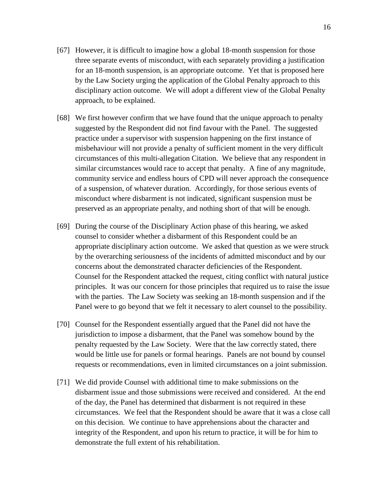- [67] However, it is difficult to imagine how a global 18-month suspension for those three separate events of misconduct, with each separately providing a justification for an 18-month suspension, is an appropriate outcome. Yet that is proposed here by the Law Society urging the application of the Global Penalty approach to this disciplinary action outcome. We will adopt a different view of the Global Penalty approach, to be explained.
- [68] We first however confirm that we have found that the unique approach to penalty suggested by the Respondent did not find favour with the Panel. The suggested practice under a supervisor with suspension happening on the first instance of misbehaviour will not provide a penalty of sufficient moment in the very difficult circumstances of this multi-allegation Citation. We believe that any respondent in similar circumstances would race to accept that penalty. A fine of any magnitude, community service and endless hours of CPD will never approach the consequence of a suspension, of whatever duration. Accordingly, for those serious events of misconduct where disbarment is not indicated, significant suspension must be preserved as an appropriate penalty, and nothing short of that will be enough.
- [69] During the course of the Disciplinary Action phase of this hearing, we asked counsel to consider whether a disbarment of this Respondent could be an appropriate disciplinary action outcome. We asked that question as we were struck by the overarching seriousness of the incidents of admitted misconduct and by our concerns about the demonstrated character deficiencies of the Respondent. Counsel for the Respondent attacked the request, citing conflict with natural justice principles. It was our concern for those principles that required us to raise the issue with the parties. The Law Society was seeking an 18-month suspension and if the Panel were to go beyond that we felt it necessary to alert counsel to the possibility.
- [70] Counsel for the Respondent essentially argued that the Panel did not have the jurisdiction to impose a disbarment, that the Panel was somehow bound by the penalty requested by the Law Society. Were that the law correctly stated, there would be little use for panels or formal hearings. Panels are not bound by counsel requests or recommendations, even in limited circumstances on a joint submission.
- [71] We did provide Counsel with additional time to make submissions on the disbarment issue and those submissions were received and considered. At the end of the day, the Panel has determined that disbarment is not required in these circumstances. We feel that the Respondent should be aware that it was a close call on this decision. We continue to have apprehensions about the character and integrity of the Respondent, and upon his return to practice, it will be for him to demonstrate the full extent of his rehabilitation.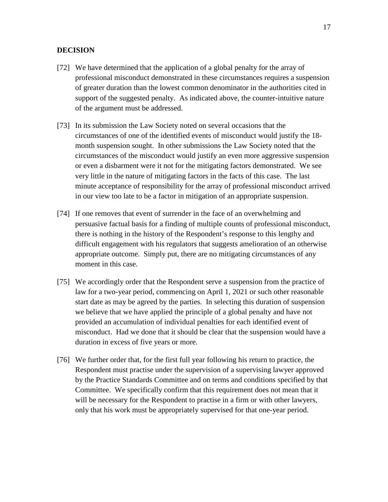### **DECISION**

- [72] We have determined that the application of a global penalty for the array of professional misconduct demonstrated in these circumstances requires a suspension of greater duration than the lowest common denominator in the authorities cited in support of the suggested penalty. As indicated above, the counter-intuitive nature of the argument must be addressed.
- [73] In its submission the Law Society noted on several occasions that the circumstances of one of the identified events of misconduct would justify the 18 month suspension sought. In other submissions the Law Society noted that the circumstances of the misconduct would justify an even more aggressive suspension or even a disbarment were it not for the mitigating factors demonstrated. We see very little in the nature of mitigating factors in the facts of this case. The last minute acceptance of responsibility for the array of professional misconduct arrived in our view too late to be a factor in mitigation of an appropriate suspension.
- [74] If one removes that event of surrender in the face of an overwhelming and persuasive factual basis for a finding of multiple counts of professional misconduct, there is nothing in the history of the Respondent's response to this lengthy and difficult engagement with his regulators that suggests amelioration of an otherwise appropriate outcome. Simply put, there are no mitigating circumstances of any moment in this case.
- [75] We accordingly order that the Respondent serve a suspension from the practice of law for a two-year period, commencing on April 1, 2021 or such other reasonable start date as may be agreed by the parties. In selecting this duration of suspension we believe that we have applied the principle of a global penalty and have not provided an accumulation of individual penalties for each identified event of misconduct. Had we done that it should be clear that the suspension would have a duration in excess of five years or more.
- [76] We further order that, for the first full year following his return to practice, the Respondent must practise under the supervision of a supervising lawyer approved by the Practice Standards Committee and on terms and conditions specified by that Committee. We specifically confirm that this requirement does not mean that it will be necessary for the Respondent to practise in a firm or with other lawyers, only that his work must be appropriately supervised for that one-year period.